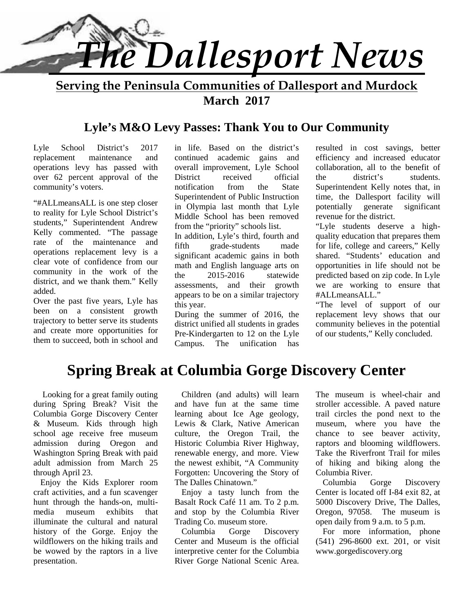

**Serving the Peninsula Communities of Dallesport and Murdock March 2017**

# **Lyle's M&O Levy Passes: Thank You to Our Community**

Lyle School District's 2017 replacement maintenance and operations levy has passed with over 62 percent approval of the community's voters.

"#ALLmeansALL is one step closer to reality for Lyle School District's students," Superintendent Andrew Kelly commented. "The passage rate of the maintenance and fifth operations replacement levy is a clear vote of confidence from our community in the work of the the district, and we thank them." Kelly added.

Over the past five years, Lyle has been on a consistent growth trajectory to better serve its students and create more opportunities for them to succeed, both in school and Campus.

in life. Based on the district's continued academic gains and overall improvement, Lyle School received official the notification from the State Superintendent of Public Instruction in Olympia last month that Lyle Middle School has been removed from the "priority" schools list. In addition, Lyle's third, fourth and grade-students made significant academic gains in both math and English language arts on 2015-2016 statewide assessments, and their growth appears to be on a similar trajectory this year.

During the summer of 2016, the district unified all students in grades Pre-Kindergarten to 12 on the Lyle The unification has

resulted in cost savings, better efficiency and increased educator collaboration, all to the benefit of district's students. Superintendent Kelly notes that, in time, the Dallesport facility will potentially generate significant revenue for the district.

"Lyle students deserve a high quality education that prepares them for life, college and careers," Kelly shared. "Students' education and opportunities in life should not be predicted based on zip code. In Lyle we are working to ensure that #ALLmeansALL."

"The level of support of our replacement levy shows that our community believes in the potential of our students," Kelly concluded.

# **Spring Break at Columbia Gorge Discovery Center**

 Looking for a great family outing during Spring Break? Visit the Columbia Gorge Discovery Center & Museum. Kids through high school age receive free museum admission during Oregon and Washington Spring Break with paid adult admission from March 25 through April 23.

Enjoy the Kids Explorer room craft activities, and a fun scavenger hunt through the hands-on, multi media museum exhibits that illuminate the cultural and natural history of the Gorge. Enjoy the Columbia wildflowers on the hiking trails and be wowed by the raptors in a live presentation.

Children (and adults) will learn and have fun at the same time learning about Ice Age geology, Lewis & Clark, Native American culture, the Oregon Trail, the Historic Columbia River Highway, renewable energy, and more. View the newest exhibit, "A Community Forgotten: Uncovering the Story of The Dalles Chinatown."

Enjoy a tasty lunch from the Basalt Rock Café 11 am. To 2 p.m. and stop by the Columbia River Trading Co. museum store.

Gorge Discovery Center and Museum is the official interpretive center for the Columbia River Gorge National Scenic Area.

The museum is wheel-chair and stroller accessible. A paved nature trail circles the pond next to the museum, where you have the chance to see beaver activity, raptors and blooming wildflowers. Take the Riverfront Trail for miles of hiking and biking along the Columbia River.

Columbia Gorge Discovery Center is located off I-84 exit 82, at 5000 Discovery Drive, The Dalles, Oregon, 97058. The museum is open daily from 9 a.m. to 5 p.m.

For more information, phone (541) 296-8600 ext. 201, or visit www.gorgediscovery.org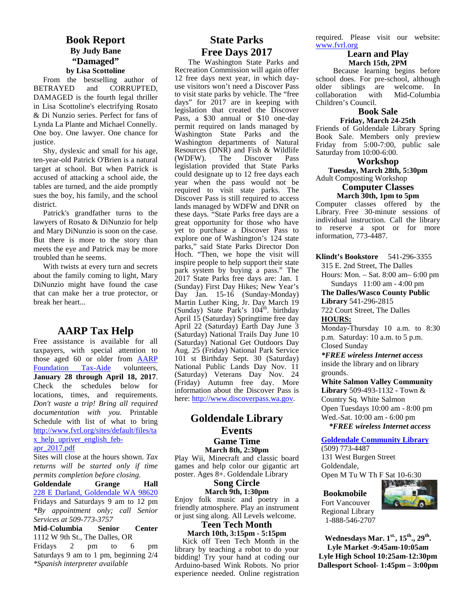#### **Book Report By Judy Bane "Damaged" by Lisa Scottoline**

From the bestselling author of BETRAYED and CORRUPTED, DAMAGED is the fourth legal thriller in Lisa Scottoline's electrifying Rosato & Di Nunzio series. Perfect for fans of Lynda La Plante and Michael Connelly. One boy. One lawyer. One chance for justice.

Shy, dyslexic and small for his age, ten-year-old Patrick O'Brien is a natural target at school. But when Patrick is accused of attacking a school aide, the tables are turned, and the aide promptly sues the boy, his family, and the school district.

Patrick's grandfather turns to the lawyers of Rosato & DiNunzio for help and Mary DiNunzio is soon on the case. But there is more to the story than meets the eye and Patrick may be more troubled than he seems.

With twists at every turn and secrets about the family coming to light, Mary DiNunzio might have found the case that can make her a true protector, or break her heart...

# **AARP Tax Help**

Free assistance is available for all taxpayers, with special attention to those aged 60 or older from AARP Foundation Tax-Aide volunteers, **January 28 through April 18, 2017**. Check the schedules below for locations, times, and requirements. *Don't waste a trip! Bring all required documentation with you.* Printable Schedule with list of what to bring http://www.fvrl.org/sites/default/files/ta x\_help\_upriver\_english\_feb apr\_2017.pdf

Sites will close at the hours shown. *Tax returns will be started only if time permits completion before closing.*

**Goldendale Grange Hall** 228 E Darland, Goldendale WA 98620 Fridays and Saturdays 9 am to 12 pm *\*By appointment only; call Senior Services at 509-773-3757*

**Mid-Columbia Senior Center** 1112 W 9th St., The Dalles, OR Fridays 2 pm to 6 pm Saturdays 9 am to 1 pm, beginning 2/4 *\*Spanish interpreter available*

# **State Parks Free Days 2017**

The Washington State Parks and Recreation Commission will again offer 12 free days next year, in which day use visitors won't need a Discover Pass to visit state parks by vehicle. The "free collaboration" days" for 2017 are in keeping with legislation that created the Discover Pass, a \$30 annual or \$10 one-day permit required on lands managed by Washington State Parks and the  $R_0$ Washington departments of Natural Resources (DNR) and Fish & Wildlife<br>(WDFW). The Discover Pass (WDFW). The Discover Pass legislation provided that State Parks could designate up to 12 free days each year when the pass would not be required to visit state parks. The Discover Pass is still required to access lands managed by WDFW and DNR on these days. "State Parks free days are a great opportunity for those who have yet to purchase a Discover Pass to explore one of Washington's 124 state parks," said State Parks Director Don Hoch. "Then, we hope the visit will inspire people to help support their state park system by buying a pass." The 2017 State Parks free days are: Jan. 1 (Sunday) First Day Hikes; New Year's Day Jan. 15-16 (Sunday-Monday) Martin Luther King, Jr. Day March 19 (Sunday) State Park's  $104^{\text{th}}$ . birthday 72 April 15 (Saturday) Springtime free day April 22 (Saturday) Earth Day June 3 (Saturday) National Trails Day June 10 (Saturday) National Get Outdoors Day Aug. 25 (Friday) National Park Service 101 st Birthday Sept. 30 (Saturday) National Public Lands Day Nov. 11 (Saturday) Veterans Day Nov. 24 (Friday) Autumn free day. More information about the Discover Pass is here: http://www.discoverpass.wa.gov.

### **Goldendale Library Events Game Time March 8th, 2:30pm**

Play Wii, Minecraft and classic board games and help color our gigantic art poster. Ages 8+. Goldendale Library

> **Song Circle March 9th, 1:30pm**

Enjoy folk music and poetry in a friendly atmosphere. Play an instrument or just sing along. All Levels welcome.

**Teen Tech Month March 10th, 3:15pm - 5:15pm**

Kick off Teen Tech Month in the library by teaching a robot to do your bidding! Try your hand at coding our Arduino-based Wink Robots. No prior experience needed. Online registration

required. Please visit our website: www.fvrl.org

#### **Learn and Play March 15th, 2PM**

Because learning begins before school does. For pre-school, although<br>older siblings are welcome. In older siblings are<br>collaboration with Mid-Columbia Children's Council.

#### **Book Sale Friday, March 24-25th**

Friends of Goldendale Library Spring Book Sale. Members only preview Friday from 5:00-7:00, public sale Saturday from 10:00-6:00.

#### **Workshop**

**Tuesday, March 28th, 5:30pm** Adult Composting Workshop

#### **Computer Classes March 30th, 1pm to 5pm**

Computer classes offered by the Library. Free 30-minute sessions of individual instruction. Call the library to reserve a spot or for more information, 773-4487.

**Klindt's Bookstore** 541-296-3355

315 E. 2nd Street, The Dalles Hours: Mon. – Sat. 8:00 am– 6:00 pm

Sundays 11:00 am - 4:00 pm

**The Dalles/Wasco County Public**

**Library** 541-296-2815

722 Court Street, The Dalles **HOURS:**

Monday-Thursday 10 a.m. to 8:30 p.m. Saturday: 10 a.m. to 5 p.m. Closed Sunday

*\*FREE wireless Internet access* inside the library and on library grounds.

**White Salmon Valley Community Library** 509-493-1132 - Town & Country Sq. White Salmon Open Tuesdays 10:00 am - 8:00 pm Wed.-Sat. 10:00 am - 6:00 pm  *\*FREE wireless Internet access*

#### **Goldendale Community Library**

(509) 773-4487 131 West Burgen Street Goldendale, Open M Tu W Th F Sat 10-6:30

#### **Bookmobile**



Fort Vancouver Regional Library 1-888-546-2707

**Wednesdays Mar. 1st., 15th., 29th . Lyle Market -9:45am-10:05am Lyle High School 10:25am-12:30pm Dallesport School- 1:45pm – 3:00pm**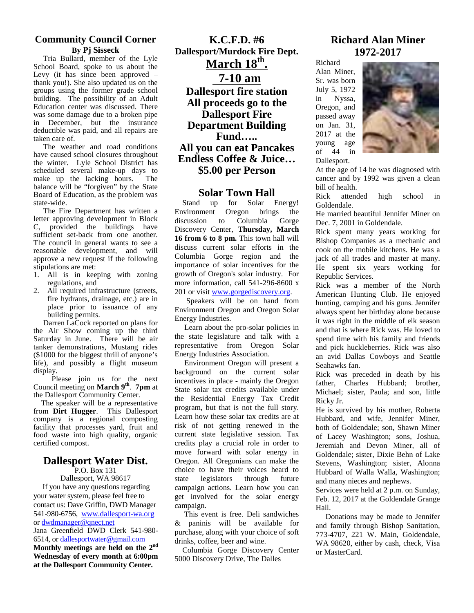## **Community Council Corner By Pj Sisseck**

Tria Bullard, member of the Lyle School Board, spoke to us about the Levy (it has since been approved – thank you!). She also updated us on the groups using the former grade school building. The possibility of an Adult Education center was discussed. There was some damage due to a broken pipe in December, but the insurance deductible was paid, and all repairs are taken care of.

The weather and road conditions have caused school closures throughout the winter. Lyle School District has scheduled several make-up days to<br>make up the lacking hours. The make up the lacking hours. balance will be "forgiven" by the State Board of Education, as the problem was state-wide.

The Fire Department has written a letter approving development in Block C, provided the buildings have sufficient set-back from one another. The council in general wants to see a reasonable development, and will approve a new request if the following stipulations are met:

- 1. All is in keeping with zoning regulations, and
- 2. All required infrastructure (streets, fire hydrants, drainage, etc.) are in place prior to issuance of any building permits.

Darren LaCock reported on plans for the Air Show coming up the third Saturday in June. There will be air tanker demonstrations, Mustang rides (\$1000 for the biggest thrill of anyone's life), and possibly a flight museum display.

 Please join us for the next Council meeting on **March** 9<sup>th</sup>. 7pm at State so the Dallesport Community Center.

 The speaker will be a representative from **Dirt Hugger**. This Dallesport company is a regional composting facility that processes yard, fruit and food waste into high quality, organic certified compost.

# **Dallesport Water Dist.**

P.O. Box 131 Dallesport, WA 98617

If you have any questions regarding your water system, please feel free to contact us: Dave Griffin, DWD Manager 541-980-6756, www.dallesport-wa.org or dwdmanager@qnect.net Jana Greenfield DWD Clerk 541-980- 6514, or dallesportwater@gmail.com **Monthly meetings are held on the 2nd Wednesday of every month at 6:00pm at the Dallesport Community Center.**

**K.C.F.D. #6 Dallesport/Murdock Fire Dept. March 18th . 7-10 am Dallesport fire station** Jul **All proceeds go to the Dallesport Fire Department Building Fund….. All you can eat Pancakes Endless Coffee & Juice…** Dallesport **\$5.00 per Person**

#### **Solar Town Hall**

Stand up for Solar Energy! Oregon brings the to Columbia Gorge Discovery Center, **Thursday, March 16 from 6 to 8 pm.** This town hall will discuss current solar efforts in the Columbia Gorge region and the importance of solar incentives for the growth of Oregon's solar industry. For more information, call 541-296-8600 x 201 or visit www.gorgediscovery.org.

Speakers will be on hand from Environment Oregon and Oregon Solar Energy Industries.

Learn about the pro-solar policies in the state legislature and talk with a representative from Oregon Solar Energy Industries Association.

Environment Oregon will present a background on the current solar incentives in place - mainly the Oregon State solar tax credits available under the Residential Energy Tax Credit program, but that is not the full story. Learn how these solar tax credits are at risk of not getting renewed in the current state legislative session. Tax credits play a crucial role in order to move forward with solar energy in Oregon. All Oregonians can make the choice to have their voices heard to state legislators through future campaign actions. Learn how you can get involved for the solar energy campaign.

This event is free. Deli sandwiches & paninis will be available for purchase, along with your choice of soft drinks, coffee, beer and wine.

Columbia Gorge Discovery Center 5000 Discovery Drive, The Dalles

# **Richard Alan Miner 1972-2017**

Richard Alan Miner, Sr. was born July 5, 1972 Nyssa, Oregon, and passed away on Jan. 31, 2017 at the young age of  $44$ Dallesport.



At the age of 14 he was diagnosed with cancer and by 1992 was given a clean bill of health.

Rick attended high school in Goldendale.

He married beautiful Jennifer Miner on Dec. 7, 2001 in Goldendale.

Rick spent many years working for Bishop Companies as a mechanic and cook on the mobile kitchens. He was a jack of all trades and master at many. He spent six years working for Republic Services.

Rick was a member of the North American Hunting Club. He enjoyed hunting, camping and his guns. Jennifer always spent her birthday alone because it was right in the middle of elk season and that is where Rick was. He loved to spend time with his family and friends and pick huckleberries. Rick was also an avid Dallas Cowboys and Seattle Seahawks fan.

Rick was preceded in death by his father, Charles Hubbard; brother, Michael; sister, Paula; and son, little Ricky Jr.

He is survived by his mother, Roberta Hubbard, and wife, Jennifer Miner, both of Goldendale; son, Shawn Miner of Lacey Washington; sons, Joshua, Jeremiah and Devon Miner, all of Goldendale; sister, Dixie Behn of Lake Stevens, Washington; sister, Alonna Hubbard of Walla Walla, Washington; and many nieces and nephews.

Services were held at 2 p.m. on Sunday, Feb. 12, 2017 at the Goldendale Grange Hall.

Donations may be made to Jennifer and family through Bishop Sanitation, 773-4707, 221 W. Main, Goldendale, WA 98620, either by cash, check, Visa or MasterCard.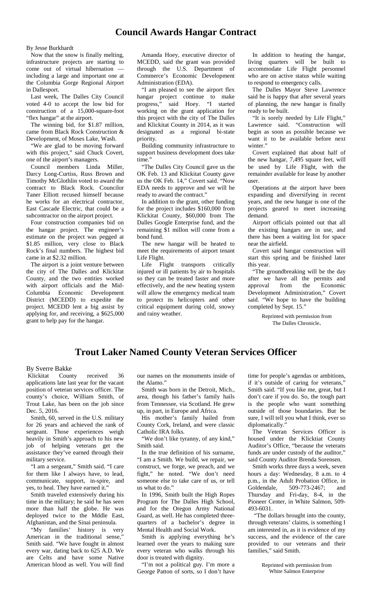# **Council Awards Hangar Contract**

By Jesse Burkhardt

 Now that the snow is finally melting, infrastructure projects are starting to come out of virtual hibernation including a large and important one at the Columbia Gorge Regional Airport in Dallesport.

 Last week, The Dalles City Council voted 4-0 to accept the low bid for construction of a 15,000-square-foot "flex hangar" at the airport.

 The winning bid, for \$1.87 million, came from Black Rock Construction & Development, of Moses Lake, Wash.

 "We are glad to be moving forward with this project," said Chuck Covert, one of the airport's managers.

 Council members Linda Miller, Darcy Long-Curtiss, Russ Brown and Timothy McGlothlin voted to award the contract to Black Rock. Councilor Taner Elliott recused himself because he works for an electrical contractor, East Cascade Electric, that could be a subcontractor on the airport project.

 Four construction companies bid on the hangar project. The engineer's estimate on the project was pegged at \$1.85 million, very close to Black Rock's final numbers. The highest bid came in at \$2.32 million.

The airport is a joint venture between Life Flight the city of The Dalles and Klickitat County, and the two entities worked with airport officials and the Mid- Columbia Economic Development District (MCEDD) to expedite the project. MCEDD lent a big assist by applying for, and receiving, a \$625,000 grant to help pay for the hangar.

 Amanda Hoey, executive director of MCEDD, said the grant was provided through the U.S. Department of Commerce's Economic Development Administration (EDA).

 "I am pleased to see the airport flex hangar project continue to make progress," said Hoey. "I started working on the grant application for this project with the city of The Dalles and Klickitat County in 2014, as it was designated as a regional bi-state priority.

Building community infrastructure to support business development does take time.'

 "The Dalles City Council gave us the OK Feb. 13 and Klickitat County gave us the OK Feb. 14," Covert said. "Now EDA needs to approve and we will be ready to award the contract."

 In addition to the grant, other funding for the project includes \$160,000 from Klickitat County, \$60,000 from The Dalles Google Enterprise fund, and the remaining \$1 millon will come from a bond fund.

 The new hangar will be heated to meet the requirements of airport tenant Life Flight.

transports critically injured or ill patients by air to hospitals so they can be treated faster and more effectively, and the new heating system will allow the emergency medical team to protect its helicopters and other critical equipment during cold, snowy and rainy weather.

 In addition to heating the hangar, living quarters will be built to accommodate Life Flight personnel who are on active status while waiting to respond to emergency calls.

 The Dalles Mayor Steve Lawrence said he is happy that after several years of planning, the new hangar is finally ready to be built.

 "It is sorely needed by Life Flight," Lawrence said. "Construction will begin as soon as possible because we want it to be available before next winter."

 Covert explained that about half of the new hangar, 7,495 square feet, will be used by Life Flight, with the remainder available for lease by another user.

 Operations at the airport have been expanding and diversifying in recent years, and the new hangar is one of the projects geared to meet increasing demand.

 Airport officials pointed out that all the existing hangars are in use, and there has been a waiting list for space near the airfield.

 Covert said hangar construction will start this spring and be finished later this year.

 "The groundbreaking will be the day after we have all the permits and from the Economic Development Administration," Covert said. "We hope to have the building completed by Sept. 15."

> Reprinted with permission from The Dalles Chronicle.

# **Trout Laker Named County Veteran Services Officer**

By Sverre Bakke<br>Klickitat County received Klickitat County received 36 applications late last year for the vacant position of veteran services officer. The county's choice, William Smith, of Trout Lake, has been on the job since Dec. 5, 2016.

 Smith, 60, served in the U.S. military for 26 years and achieved the rank of sergeant. Those experiences weigh heavily in Smith's approach to his new job of helping veterans get the assistance they've earned through their military service.

 "I am a sergeant," Smith said. "I care for them like I always have, to lead, communicate, support, in-spire, and yes, to heal. They have earned it."

 Smith traveled extensively during his time in the military; he said he has seen more than half the globe. He was deployed twice to the Mddle East, Afghanistan, and the Sinai peninsula.

 "My families' history is very American in the traditional sense," Smith said. "We have fought in almost every war, dating back to 625 A.D. We are Celts and have some Native American blood as well. You will find

our names on the monuments inside of the Alamo."

 Smith was born in the Detroit, Mich., area, though his father's family hails from Tennessee, via Scotland. He grew up, in part, in Europe and Africa.

 His mother's family hailed from County Cork, Ireland, and were classic Catholic IRA folks.

"We don't like tyranny, of any kind," Smith said.

 In the true definition of his surname, "I am a Smith. We build, we repair, we construct, we forge, we preach, and we fight," he noted. "We don't need someone else to take care of us, or tell us what to do."

 In 1996, Smith built the High Ropes Program for The Dalles High School, and for the Oregon Army National Guard, as well. He has completed three quarters of a bachelor's degree in Mental Health and Social Work.

 Smith is applying everything he's learned over the years to making sure every veteran who walks through his door is treated with dignity.

 "I'm not a political guy. I'm more a George Patton of sorts, so I don't have time for people's agendas or ambitions, if it's outside of caring for veterans," Smith said. "If you like me, great, but I don't care if you do. So, the tough part is the people who want something outside of those boundaries. But be sure, I will tell you what I think, ever so diplomatically."

 The Veteran Services Officer is housed under the Klicktiat County Auditor's Office, "because the veterans funds are under custody of the auditor,' said County Auditor Brenda Sorensen.

 Smith works three days a week, seven hours a day: Wednesday, 8 a.m. to 4 p.m., in the Adult Probation Office, in Goldendale, 509-773-2467; and Thursday and Fri-day, 8-4, in the Pioneer Center, in White Salmon, 509- 493-6031.

 "The dollars brought into the county, through veterans' claims, is something I am interested in, as it is evidence of my success, and the evidence of the care provided to our veterans and their families," said Smith.

Reprinted with permission from White Salmon Enterprise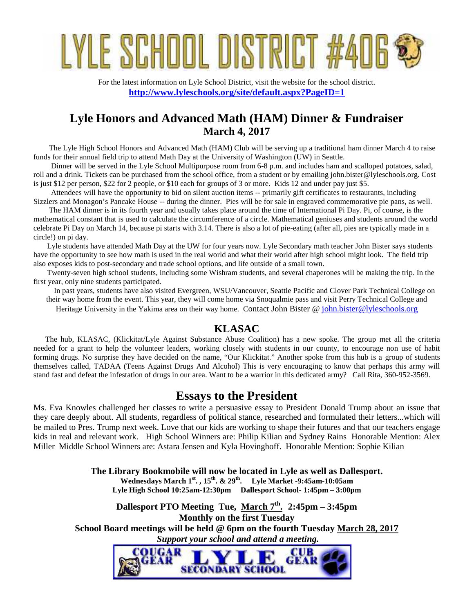# YLE SCHOOL DISTRICT

For the latest information on Lyle School District, visit the website for the school district. **http://www.lyleschools.org/site/default.aspx?PageID=1**

# **Lyle Honors and Advanced Math (HAM) Dinner & Fundraiser March 4, 2017**

The Lyle High School Honors and Advanced Math (HAM) Club will be serving up a traditional ham dinner March 4 to raise funds for their annual field trip to attend Math Day at the University of Washington (UW) in Seattle.

Dinner will be served in the Lyle School Multipurpose room from 6-8 p.m. and includes ham and scalloped potatoes, salad, roll and a drink. Tickets can be purchased from the school office, from a student or by emailing john.bister@lyleschools.org. Cost is just \$12 per person, \$22 for 2 people, or \$10 each for groups of 3 or more. Kids 12 and under pay just \$5.

Attendees will have the opportunity to bid on silent auction items -- primarily gift certificates to restaurants, including Sizzlers and Monagon's Pancake House -- during the dinner. Pies will be for sale in engraved commemorative pie pans, as well.

The HAM dinner is in its fourth year and usually takes place around the time of International Pi Day. Pi, of course, is the mathematical constant that is used to calculate the circumference of a circle. Mathematical geniuses and students around the world celebrate Pi Day on March 14, because pi starts with 3.14. There is also a lot of pie-eating (after all, pies are typically made in a circle!) on pi day.

Lyle students have attended Math Day at the UW for four years now. Lyle Secondary math teacher John Bister says students have the opportunity to see how math is used in the real world and what their world after high school might look. The field trip also exposes kids to post-secondary and trade school options, and life outside of a small town.

Twenty-seven high school students, including some Wishram students, and several chaperones will be making the trip. In the first year, only nine students participated.

In past years, students have also visited Evergreen, WSU/Vancouver, Seattle Pacific and Clover Park Technical College on their way home from the event. This year, they will come home via Snoqualmie pass and visit Perry Technical College and Heritage University in the Yakima area on their way home. Contact John Bister @ john.bister@lyleschools.org

# **KLASAC**

The hub, KLASAC, (Klickitat/Lyle Against Substance Abuse Coalition) has a new spoke. The group met all the criteria needed for a grant to help the volunteer leaders, working closely with students in our county, to encourage non use of habit forming drugs. No surprise they have decided on the name, "Our Klickitat." Another spoke from this hub is a group of students themselves called, TADAA (Teens Against Drugs And Alcohol) This is very encouraging to know that perhaps this army will stand fast and defeat the infestation of drugs in our area. Want to be a warrior in this dedicated army? Call Rita, 360-952-3569.

# **Essays to the President**

Ms. Eva Knowles challenged her classes to write a persuasive essay to President Donald Trump about an issue that they care deeply about. All students, regardless of political stance, researched and formulated their letters...which will be mailed to Pres. Trump next week. Love that our kids are working to shape their futures and that our teachers engage kids in real and relevant work. High School Winners are: Philip Kilian and Sydney Rains Honorable Mention: Alex Miller Middle School Winners are: Astara Jensen and Kyla Hovinghoff. Honorable Mention: Sophie Kilian

> **The Library Bookmobile will now be located in Lyle as well as Dallesport. Wednesdays March 1st. , 15th. & 29th. Lyle Market -9:45am-10:05am Lyle High School 10:25am-12:30pm Dallesport School- 1:45pm – 3:00pm**

**Dallesport PTO Meeting Tue, March 7th . 2:45pm – 3:45pm Monthly on the first Tuesday School Board meetings will be held @ 6pm on the fourth Tuesday March 28, 2017**  *Support your school and attend a meeting.*

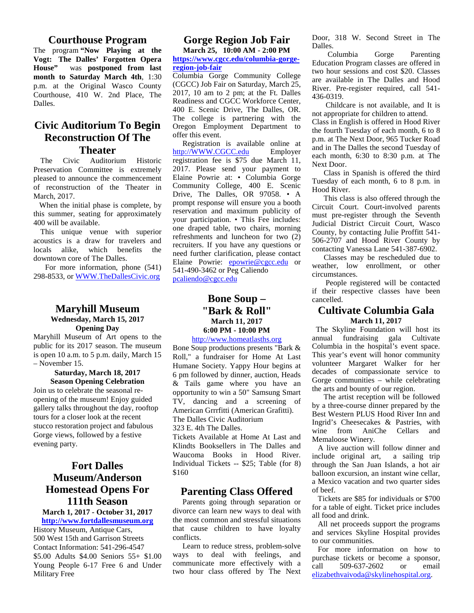#### **Courthouse Program**

The program **"Now Playing at the Vogt: The Dalles' Forgotten Opera House"** was **postponed from last month to Saturday March 4th**, 1:30 p.m. at the Original Wasco County Courthouse, 410 W. 2nd Place, The Dalles.

# **Civic Auditorium To Begin Reconstruction Of The Theater**

The Civic Auditorium Historic Preservation Committee is extremely pleased to announce the commencement of reconstruction of the Theater in March, 2017.

When the initial phase is complete, by this summer, seating for approximately 400 will be available.

This unique venue with superior acoustics is a draw for travelers and locals alike, which benefits the downtown core of The Dalles.

 For more information, phone (541) 298-8533, or WWW.TheDallesCivic.org

#### **Maryhill Museum Wednesday, March 15, 2017 Opening Day**

Maryhill Museum of Art opens to the public for its 2017 season. The museum is open 10 a.m. to 5 p.m. daily, March 15 – November 15.

> **Saturday, March 18, 2017 Season Opening Celebration**

Join us to celebrate the seasonal re opening of the museum! Enjoy guided gallery talks throughout the day, rooftop tours for a closer look at the recent stucco restoration project and fabulous Gorge views, followed by a festive evening party.

# **Fort Dalles Museum/Anderson Homestead Opens For 111th Season**

**March 1, 2017 - October 31, 2017 http://www.fortdallesmuseum.org**

History Museum, Antique Cars, 500 West 15th and Garrison Streets Contact Information: 541-296-4547 \$5.00 Adults \$4.00 Seniors 55+ \$1.00 Young People 6-17 Free 6 and Under Military Free

# **Gorge Region Job Fair**

**March 25, 10:00 AM - 2:00 PM** Danes.<br>Columbia **https://www.cgcc.edu/columbia-gorge region-job-fair**

Columbia Gorge Community College (CGCC) Job Fair on Saturday, March 25, 2017, 10 am to 2 pm; at the Ft. Dalles Readiness and CGCC Workforce Center, 400 E. Scenic Drive, The Dalles, OR. The college is partnering with the Oregon Employment Department to offer this event.

Registration is available online at http://WWW.CGCC.edu Employer registration fee is \$75 due March 11, 2017. Please send your payment to Elaine Powrie at: • Columbia Gorge Community College, 400 E. Scenic Drive, The Dalles, OR 97058. • A prompt response will ensure you a booth reservation and maximum publicity of your participation. • This Fee includes: one draped table, two chairs, morning refreshments and luncheon for two (2) recruiters. If you have any questions or need further clarification, please contact Elaine Powrie: **epowrie@cgcc.edu** or 541-490-3462 or Peg Caliendo pcaliendo@cgcc.edu

# **Bone Soup – "Bark & Roll" March 11, 2017 6:00 PM - 10:00 PM**

#### http://www.homeatlasths.org

Bone Soup productions presents "Bark & Roll," a fundraiser for Home At Last Humane Society. Yappy Hour begins at 6 pm followed by dinner, auction, Heads & Tails game where you have an opportunity to win a 50" Samsung Smart TV, dancing and a screening of American Grrrfitti (American Grafitti). The Dalles Civic Auditorium

## 323 E. 4th The Dalles.

Tickets Available at Home At Last and Klindts Booksellers in The Dalles and Waucoma Books in Hood River. Individual Tickets -- \$25; Table (for 8) \$160

# **Parenting Class Offered**

Parents going through separation or divorce can learn new ways to deal with the most common and stressful situations that cause children to have loyalty conflicts.

Learn to reduce stress, problem-solve ways to deal with feelings, and communicate more effectively with a call two hour class offered by The Next

Door, 318 W. Second Street in The Dalles.

Gorge Parenting Education Program classes are offered in two hour sessions and cost \$20. Classes are available in The Dalles and Hood River. Pre-register required, call 541- 436-0319.

Childcare is not available, and It is not appropriate for children to attend. Class in English is offered in Hood River the fourth Tuesday of each month, 6 to 8 p.m. at The Next Door, 965 Tucker Road and in The Dalles the second Tuesday of each month, 6:30 to 8:30 p.m. at The Next Door.

Class in Spanish is offered the third Tuesday of each month, 6 to 8 p.m. in Hood River.

This class is also offered through the Circuit Court. Court-involved parents must pre-register through the Seventh Judicial District Circuit Court, Wasco County, by contacting Julie Proffitt 541- 506-2707 and Hood River County by contacting Vanessa Lane 541-387-6902.

Classes may be rescheduled due to weather, low enrollment, or other circumstances.

People registered will be contacted if their respective classes have been cancelled.

#### **Cultivate Columbia Gala March 11, 2017**

 The Skyline Foundation will host its annual fundraising gala Cultivate Columbia in the hospital's event space. This year's event will honor community volunteer Margaret Walker for her decades of compassionate service to Gorge communities – while celebrating the arts and bounty of our region.

The artist reception will be followed by a three-course dinner prepared by the Best Western PLUS Hood River Inn and Ingrid's Cheesecakes & Pastries, with wine from AniChe Cellars and Memaloose Winery.

A live auction will follow dinner and include original art, a sailing trip through the San Juan Islands, a hot air balloon excursion, an instant wine cellar, a Mexico vacation and two quarter sides of beef.

Tickets are \$85 for individuals or \$700 for a table of eight. Ticket price includes all food and drink.

All net proceeds support the programs and services Skyline Hospital provides to our communities.

For more information on how to purchase tickets or become a sponsor, 509-637-2602 or email elizabethvaivoda@skylinehospital.org.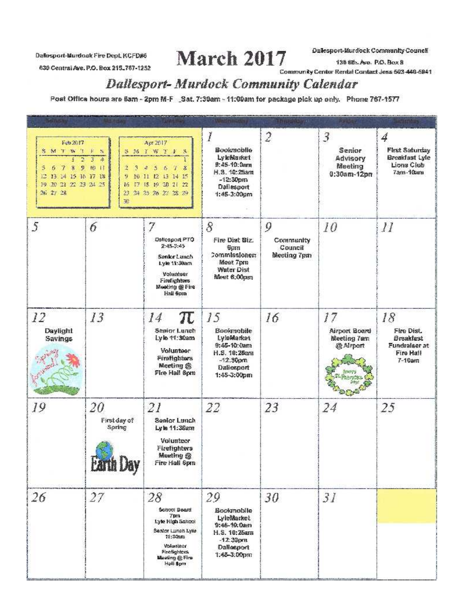Datesport-Murdock Fire Dept. KCFD#6

630 Central Are, P.O. Box 215, 767-1252

March 2017

Dallesport-Murdock Community Council

138 6th. Ave. P.O. Box 8

Community Center Rental Contact Jess 503-448-5941

# **Dallesport-Murdock Community Calendar**

Post Office hours are 6am - 2pm M-F \_Sat. 7:30am - 11:00am for package pick up only. Phone 767-1577

| Feb 2017<br><b>SMTW1 E</b><br>$\mathbf{B}$<br>$\mathbf{g}$<br>9<br>5<br>7<br>6<br>12 13 14 15 16 17 18<br>19 20 21 22 23 24 25<br>26 27 28 | S<br>$\overline{3}$<br>$\overline{4}$<br>Ю<br>$\mathbf{H}$<br>2<br>3<br>9.<br>16<br>30 | Apr 2017<br>SMYWY F<br>S.<br>$5 -$<br>6.1<br>8<br>4<br>10 11 12 13 14 15<br>17 18 19 20 21 22<br>23 24 25 26 27 28 29                                          | Bookmobile.<br>LyleMarket<br>9:45-10:0am<br>H.S. 10:25am<br>$-12:30\text{pm}$<br>Dallesport<br>1:45-3:00pm            | $\overline{2}$                           | 3<br>Senior<br>Advisory<br>Meeting<br>$0:30$ am-12pm   | 4<br><b>First Saturday</b><br><b>Breakfast Lyle</b><br>Lions Club<br>7am-10am    |
|--------------------------------------------------------------------------------------------------------------------------------------------|----------------------------------------------------------------------------------------|----------------------------------------------------------------------------------------------------------------------------------------------------------------|-----------------------------------------------------------------------------------------------------------------------|------------------------------------------|--------------------------------------------------------|----------------------------------------------------------------------------------|
| 5                                                                                                                                          | 6                                                                                      | 7<br>Dallesport PTO<br>$2:45-3:45$<br>Senior Lunch<br>Lyle 11:30am<br>Volumeer<br>Firefighters<br>Meeting @ Fire<br>Hall 6pm                                   | 8<br>Fire Dist Biz.<br>Gum<br>2ommissioner:<br>Meet 7pm<br><b>Water Dist</b><br>Meet 6:00pm                           | 9<br>Community<br>Council<br>Meeting 7pm | 10                                                     | $\mathcal{I}$                                                                    |
| 12<br>Daylight<br>Savings                                                                                                                  | 13                                                                                     | π<br>14<br>Semor Lunch<br>Lyle 11:30am<br>Volunteer<br>Firefighters<br>Meeting @<br>Fire Hall Spm                                                              | 15<br><b>Bookmobile</b><br>LyloMarket<br>$9.45 - 10.0$ am<br>H.S. 10:28am<br>$-12.30$ pm<br>Dallesport<br>1:45-3:00pm | 16                                       | 17<br><b>Airport Board</b><br>Meeting 7am<br>@ Airport | 18<br>Fire Dist.<br><b>Breakfast</b><br>Fundralser at<br>Fire Hall<br>$7-10$ arn |
| 19                                                                                                                                         | 20<br>First day of<br>Spring<br><b>Earth Day</b>                                       | 21<br>Senior Lunch<br>Lyle 11:30am<br>Volunteer<br>Firefighters<br>Musting @<br>Fire Hall 6pm                                                                  | 22                                                                                                                    | 23                                       | 24                                                     | 25                                                                               |
| 26                                                                                                                                         | 27                                                                                     | 28<br>School Board<br><b>Tpm</b><br>Lyle High School<br>Sealor Lunch Lyle<br>11:30am<br><b>Volumbeer</b><br>Firefighters.<br><b>Macting @ Fire</b><br>Hall Spm | 29<br>Bookmobile<br>LyleMarket<br>9:46-10:0am<br>H.S. 10:25am<br>$-12.30$ pru<br>Dallesport<br>1:48-3:00рт            | 30                                       | 31                                                     |                                                                                  |